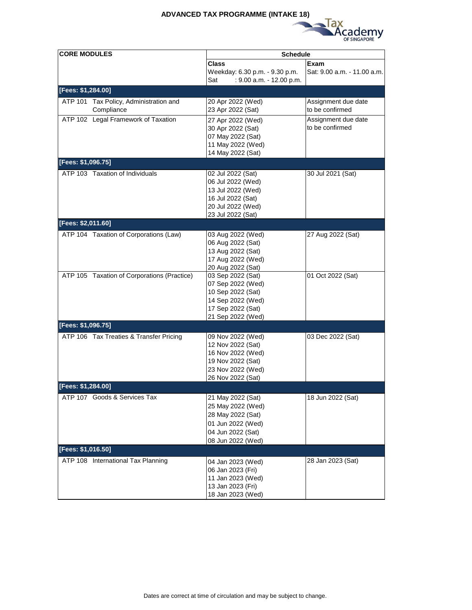

| <b>CORE MODULES</b> |                                             | <b>Schedule</b>                        |                             |
|---------------------|---------------------------------------------|----------------------------------------|-----------------------------|
|                     |                                             | Class                                  | Exam                        |
|                     |                                             | Weekday: 6.30 p.m. - 9.30 p.m.         | Sat: 9.00 a.m. - 11.00 a.m. |
|                     |                                             | Sat<br>: 9.00 a.m. - 12.00 p.m.        |                             |
| [Fees: \$1,284.00]  |                                             |                                        |                             |
|                     | ATP 101 Tax Policy, Administration and      | 20 Apr 2022 (Wed)                      | Assignment due date         |
|                     | Compliance                                  | 23 Apr 2022 (Sat)                      | to be confirmed             |
|                     | ATP 102 Legal Framework of Taxation         | 27 Apr 2022 (Wed)                      | Assignment due date         |
|                     |                                             | 30 Apr 2022 (Sat)                      | to be confirmed             |
|                     |                                             | 07 May 2022 (Sat)                      |                             |
|                     |                                             | 11 May 2022 (Wed)                      |                             |
|                     |                                             | 14 May 2022 (Sat)                      |                             |
| [Fees: \$1,096.75]  |                                             |                                        |                             |
|                     | ATP 103 Taxation of Individuals             | 02 Jul 2022 (Sat)                      | 30 Jul 2021 (Sat)           |
|                     |                                             | 06 Jul 2022 (Wed)                      |                             |
|                     |                                             | 13 Jul 2022 (Wed)                      |                             |
|                     |                                             | 16 Jul 2022 (Sat)                      |                             |
|                     |                                             | 20 Jul 2022 (Wed)                      |                             |
|                     |                                             | 23 Jul 2022 (Sat)                      |                             |
| [Fees: \$2,011.60]  |                                             |                                        |                             |
|                     | ATP 104 Taxation of Corporations (Law)      | 03 Aug 2022 (Wed)                      | 27 Aug 2022 (Sat)           |
|                     |                                             | 06 Aug 2022 (Sat)                      |                             |
|                     |                                             | 13 Aug 2022 (Sat)                      |                             |
|                     |                                             | 17 Aug 2022 (Wed)                      |                             |
|                     |                                             | 20 Aug 2022 (Sat)                      |                             |
|                     | ATP 105 Taxation of Corporations (Practice) | 03 Sep 2022 (Sat)                      | 01 Oct 2022 (Sat)           |
|                     |                                             | 07 Sep 2022 (Wed)                      |                             |
|                     |                                             | 10 Sep 2022 (Sat)                      |                             |
|                     |                                             | 14 Sep 2022 (Wed)                      |                             |
|                     |                                             | 17 Sep 2022 (Sat)<br>21 Sep 2022 (Wed) |                             |
| [Fees: \$1,096.75]  |                                             |                                        |                             |
|                     | ATP 106 Tax Treaties & Transfer Pricing     | 09 Nov 2022 (Wed)                      | 03 Dec 2022 (Sat)           |
|                     |                                             | 12 Nov 2022 (Sat)                      |                             |
|                     |                                             | 16 Nov 2022 (Wed)                      |                             |
|                     |                                             | 19 Nov 2022 (Sat)                      |                             |
|                     |                                             | 23 Nov 2022 (Wed)                      |                             |
|                     |                                             | 26 Nov 2022 (Sat)                      |                             |
| [Fees: \$1,284.00]  |                                             |                                        |                             |
|                     | ATP 107 Goods & Services Tax                | 21 May 2022 (Sat)                      | 18 Jun 2022 (Sat)           |
|                     |                                             | 25 May 2022 (Wed)                      |                             |
|                     |                                             | 28 May 2022 (Sat)                      |                             |
|                     |                                             | 01 Jun 2022 (Wed)                      |                             |
|                     |                                             | 04 Jun 2022 (Sat)                      |                             |
|                     |                                             | 08 Jun 2022 (Wed)                      |                             |
| [Fees: \$1,016.50]  |                                             |                                        |                             |
|                     | ATP 108 International Tax Planning          | 04 Jan 2023 (Wed)                      | 28 Jan 2023 (Sat)           |
|                     |                                             | 06 Jan 2023 (Fri)                      |                             |
|                     |                                             | 11 Jan 2023 (Wed)                      |                             |
|                     |                                             | 13 Jan 2023 (Fri)                      |                             |
|                     |                                             | 18 Jan 2023 (Wed)                      |                             |